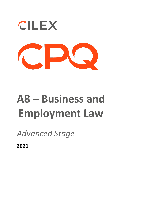

## **A8 – Business and Employment Law**

*Advanced Stage* 

**2021**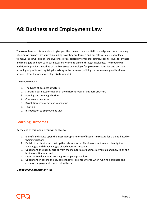## **A8: Business and Employment Law**

The overall aim of this module is to give you, the trainee, the essential knowledge and understanding of common business structures, including how they are formed and operate within relevant legal frameworks. It will also ensure awareness of associated internal procedures, liability issues for owners and managers and how such businesses may come to an end through insolvency. The module will additionally provide an outline of the key issues on employer/employee relationships and taxation, including of profits and capital gains arising in the business (building on the knowledge of business accounts from the Advanced Stage Skills module).

The module covers:

- 1. The types of business structure
- 2. Starting a business; formation of the different types of business structure
- 3. Running and growing a business
- 4. Company procedures
- 5. Dissolution, insolvency and winding up
- 6. Taxation
- 7. Introduction to Employment Law

## **Learning Outcomes**

By the end of this module you will be able to:

- 1. Identify and advise upon the most appropriate form of business structure for a client, based on their instructions
- 2. Explain to a client how to set up their chosen form of business structure and identify the advantages and disadvantages of each business medium
- 3. Understand the liability arising from the main forms of business ownership and how to bring a business entity to an end
- 4. Draft the key documents relating to company procedures
- 5. Understand in outline the key taxes that will be encountered when running a business and common employment issues that will arise

## *Linked online assessment: A8*

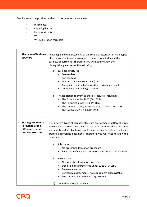Candidates will be provided with up to tax rates and allowances:

- Income tax
- Capital gains tax
- Incorporation tax
- VAT

 $\sqrt{2}$ 

• VAT registration threshold

| 1. | The types of business<br>structure                                                                 | Knowledge and understanding of the core characteristics of main types<br>of business structure are essential to the work of a trainee in the<br>business department. Therefore, you will need to know the<br>distinguishing features of the following:<br><b>Business structures</b><br>a)<br>Sole traders<br>Partnerships<br>٠<br>Limited liability partnerships (LLPs)<br>٠<br>Companies limited by shares (both private and public)<br>Companies limited by guarantee<br>The legislation relevant to these structures, including:<br>b)<br>The Companies Act 2006 (CA 2006)<br>٠<br>The Partnership Act 1890 (PA 1890)<br>$\bullet$<br>The Limited Liability Partnerships Act 2000 (LLPA 2000)<br>The Insolvency Act 1986 (IA 1986)<br>$\bullet$ |
|----|----------------------------------------------------------------------------------------------------|-----------------------------------------------------------------------------------------------------------------------------------------------------------------------------------------------------------------------------------------------------------------------------------------------------------------------------------------------------------------------------------------------------------------------------------------------------------------------------------------------------------------------------------------------------------------------------------------------------------------------------------------------------------------------------------------------------------------------------------------------------|
| 2. | <b>Starting a business;</b><br><b>Formation of the</b><br>different types of<br>business structure | The different types of business structure are formed in different ways.<br>You must be aware of the varying formalities in order to advise the client<br>adequately and be able to carry out the necessary formalities, including<br>drafting appropriate documents. Therefore, you will need to know the<br>following:<br>a) Sole trader<br>No prescribed formation procedure<br>Regulation of choice of business name under 1192 CA 2006<br>b) Partnerships<br>No prescribed formation procedure<br>Definition of a partnership under s1 to 2 PA 1890<br>Relevant case law<br>Partnership agreements: no requirement but advisable<br>Key content of a partnership agreement<br>Limited liability partnerships<br>c)                              |

 $\overline{\mathsf{L}}$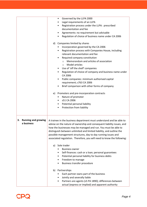|                                                | Governed by the LLPA 2000<br>٠<br>Legal requirements of an LLPA<br>Registration process under the LLPA: prescribed<br>documentation and fee<br>Agreements: no requirement but advisable<br>Regulation of choice of business name under CA 2006<br>d) Companies limited by shares<br>Incorporation governed by the CA 2006<br>Registration process with Companies House, including<br>٠<br>relevant documentation and fee<br>Required company constitution<br>$\bullet$<br>Memorandum and articles of association<br>$\circ$<br>Model articles<br>$\Omega$<br>Use of 'off the shelf' companies<br>٠<br>Regulation of choice of company and business name under<br>٠<br>CA 2006<br>Public companies: minimum authorised capital<br>requirement; s763 CA 2006<br>Brief comparison with other forms of company<br>e) Promoters and pre-incorporation contracts<br>Nature of promoter<br>s51 CA 2006<br>$\bullet$<br>Potential personal liability<br>٠<br>Protection from liability<br>$\bullet$ |
|------------------------------------------------|---------------------------------------------------------------------------------------------------------------------------------------------------------------------------------------------------------------------------------------------------------------------------------------------------------------------------------------------------------------------------------------------------------------------------------------------------------------------------------------------------------------------------------------------------------------------------------------------------------------------------------------------------------------------------------------------------------------------------------------------------------------------------------------------------------------------------------------------------------------------------------------------------------------------------------------------------------------------------------------------|
| <b>Running and growing</b><br>3.<br>a business | A trainee in the business department must understand and be able to<br>advise on the nature of ownership and consequent liability issues, and<br>how the businesses may be managed and run. You must be able to<br>distinguish between unlimited and limited liability, and outline the<br>possible management structures, day to day running issues and<br>associated regulation. Therefore, you will need to know the following:<br>Sole trader<br>a)<br><b>Business owner</b><br>Self-finances: cash or a loan; personal guarantees<br>٠<br>Potential personal liability for business debts<br>٠<br>Freedom to manage<br>Business transfer procedure<br>b) Partnerships<br>Each partner owns part of the business<br>Jointly and severally liable<br>Partners are agents (s5 PA 1890); differences between<br>٠<br>actual (express or implied) and apparent authority                                                                                                                    |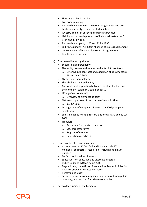|    | Fiduciary duties in outline<br>٠                                                       |
|----|----------------------------------------------------------------------------------------|
|    | Freedom to manage                                                                      |
|    | Partnership agreements: govern management structure;<br>٠                              |
|    | limits on authority to incur debts/liabilities                                         |
|    | PA 1890 implies in absence of express agreement<br>٠                                   |
|    | Liability of partnership for acts of individual partner: ss 6 to<br>٠                  |
|    | 8, 14 and 17 PA 1890                                                                   |
|    | Partnership property: ss20 and 21 PA 1890<br>٠                                         |
|    | Exit routes under PA 1890 in absence of express agreement<br>$\bullet$                 |
|    | Consequences of breach of partnership agreement<br>٠                                   |
|    | Expulsion of a partner                                                                 |
| c) | Companies limited by shares                                                            |
|    | Separate legal personality                                                             |
|    | The entity can sue and be sued and enter into contracts                                |
|    | Entering into contracts and execution of documents: ss<br>$\circ$<br>43 and 44 CA 2006 |
|    | Owners are shareholders<br>٠                                                           |
|    | Shareholders; limited liability<br>٠                                                   |
|    | Corporate veil; separation between the shareholders and<br>٠                           |
|    |                                                                                        |
|    | the company; Salomon v Salomon [1897]                                                  |
|    | Lifting of corporate veil<br>Overview of elements of 'test'                            |
|    | $\circ$                                                                                |
|    | Nature and purpose of the company's constitution:<br>s33 CA 2006<br>$\circ$            |
|    | Management of company: directors; CA 2006; company<br>٠<br>constitution                |
|    | Limits on capacity and directors' authority; ss 39 and 40 CA<br>٠                      |
|    | 2006                                                                                   |
|    | <b>Transfers</b>                                                                       |
|    | Procedure for transfer of shares                                                       |
|    | Stock transfer forms<br>O                                                              |
|    | Register of members<br>$\circ$                                                         |
|    | Restrictions in articles<br>$\circ$                                                    |
| d) | Company directors and secretary                                                        |
|    | Appointment; s154 CA 2006 and Model Article 17;                                        |
|    | members' or directors' resolution - including minimum                                  |
|    | number                                                                                 |
|    | De facto and shadow directors                                                          |
|    | Executive, non-executive and alternate directors                                       |
|    | Duties under ss 170 to 177 CA 2006                                                     |
|    | Regulation by the articles of association; Model Articles for                          |
|    | Private Companies Limited by Shares                                                    |
|    | <b>Removal and CDDA</b>                                                                |
|    | Service contracts: company secretary: required for a public                            |
|    | company; not required for private companies                                            |
| e) | Day to day running of the business                                                     |
|    |                                                                                        |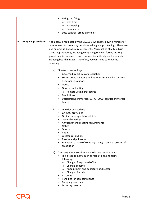|                                 | Hiring and firing                                                                                                                                                                                                       |
|---------------------------------|-------------------------------------------------------------------------------------------------------------------------------------------------------------------------------------------------------------------------|
|                                 | Sole trader                                                                                                                                                                                                             |
|                                 | $\Omega$                                                                                                                                                                                                                |
|                                 | Partnerships<br>$\circ$                                                                                                                                                                                                 |
|                                 | Companies<br>$\circ$                                                                                                                                                                                                    |
|                                 | Data control - broad principles                                                                                                                                                                                         |
| <b>Company procedures</b><br>4. | A company is regulated by the CA 2006, which lays down a number of<br>requirements for company decision-making and proceedings. There are<br>also numerous disclosure requirements. You must be able to advise          |
|                                 | clients appropriately, including completing relevant forms, drafting<br>generic text in documents and commenting critically on documents<br>including board minutes. Therefore, you will need to know the<br>following: |
|                                 |                                                                                                                                                                                                                         |
|                                 | Directors' proceedings<br>a)                                                                                                                                                                                            |
|                                 | Governed by articles of association                                                                                                                                                                                     |
|                                 | Form - board meetings and other forms including written<br>٠<br>directors' resolutions                                                                                                                                  |
|                                 | Notice                                                                                                                                                                                                                  |
|                                 | Quorum and voting<br>٠                                                                                                                                                                                                  |
|                                 | Remote voting procedures<br>$\circ$                                                                                                                                                                                     |
|                                 | Resolutions                                                                                                                                                                                                             |
|                                 | Declarations of interest s177 CA 2006; conflict of interest<br><b>MA14</b>                                                                                                                                              |
|                                 | b) Shareholder proceedings                                                                                                                                                                                              |
|                                 | CA 2006 provisions                                                                                                                                                                                                      |
|                                 | Ordinary and special resolutions<br>٠                                                                                                                                                                                   |
|                                 | General meetings<br>$\bullet$                                                                                                                                                                                           |
|                                 | Annual general meeting requirements                                                                                                                                                                                     |
|                                 | Notice                                                                                                                                                                                                                  |
|                                 | Quorum                                                                                                                                                                                                                  |
|                                 | Voting<br>Written resolutions                                                                                                                                                                                           |
|                                 | Proxies and poll votes                                                                                                                                                                                                  |
|                                 | Examples: change of company name; change of articles of                                                                                                                                                                 |
|                                 | association                                                                                                                                                                                                             |
|                                 | c) Company administration and disclosure requirements                                                                                                                                                                   |
|                                 | Filing requirements such as resolutions, and forms<br>following:                                                                                                                                                        |
|                                 | Change of registered office<br>$\circ$                                                                                                                                                                                  |
|                                 | Change of name<br>$\circ$                                                                                                                                                                                               |
|                                 | Appointment and departure of director<br>$\circ$                                                                                                                                                                        |
|                                 | Change of articles<br>$\circ$<br>Accounts                                                                                                                                                                               |
|                                 |                                                                                                                                                                                                                         |
|                                 | Penalties for non-compliance<br>Company searches                                                                                                                                                                        |
|                                 | Statutory records                                                                                                                                                                                                       |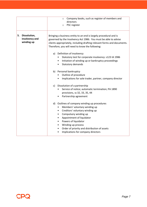|                                                 | Company books, such as register of members and<br>$\circ$<br>directors<br>PSC register<br>O                                                                                                                                                                                                                                                                                 |
|-------------------------------------------------|-----------------------------------------------------------------------------------------------------------------------------------------------------------------------------------------------------------------------------------------------------------------------------------------------------------------------------------------------------------------------------|
| 5. Dissolution,<br>insolvency and<br>winding up | Bringing a business entity to an end is largely procedural and is<br>governed by the Insolvency Act 1986. You must be able to advise<br>clients appropriately, including drafting relevant forms and documents.<br>Therefore, you will need to know the following:                                                                                                          |
|                                                 | a) Definition of insolvency<br>Statutory test for corporate insolvency: s123 IA 1986<br>Initiation of winding up or bankruptcy proceedings<br>$\bullet$<br>Statutory demands                                                                                                                                                                                                |
|                                                 | b) Personal bankruptcy<br>Outline of procedure<br>Implications for sole trader, partner, company director                                                                                                                                                                                                                                                                   |
|                                                 | c) Dissolution of a partnership<br>Service of notice; automatic termination; PA 1890<br>provisions, ss 32, 33, 35, 44<br>Partnership agreement<br>$\bullet$                                                                                                                                                                                                                 |
|                                                 | d) Outlines of company winding up procedures<br>Members' voluntary winding up<br>$\bullet$<br>Creditors' voluntary winding up<br>$\bullet$<br>Compulsory winding up<br>$\bullet$<br>Appointment of liquidator<br>$\bullet$<br>Powers of liquidator<br>$\bullet$<br>Winding up process<br>Order of priority and distribution of assets<br>Implications for company directors |

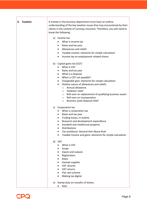|  | 6. Taxation | A trainee in the business department must have an outline<br>understanding of the key taxation issues that may encountered by their<br>clients in the context of running a business. Therefore, you will need to<br>know the following:                                                                                                                                                                                                                                         |
|--|-------------|---------------------------------------------------------------------------------------------------------------------------------------------------------------------------------------------------------------------------------------------------------------------------------------------------------------------------------------------------------------------------------------------------------------------------------------------------------------------------------|
|  |             | Income tax<br>a)<br>What is income tax<br>٠<br>Rates and tax year<br>$\bullet$<br>Allowances and reliefs<br>$\bullet$<br>Taxable income: elements for simple calculation<br>٠<br>Income tax on employment related shares<br>$\bullet$                                                                                                                                                                                                                                           |
|  |             | b) Capital gains tax (CGT)<br>What is CGT<br>$\bullet$<br>Rates and tax year<br>٠<br>What is a disposal<br>٠<br>When is CGT not payable?<br>٠<br>Chargeable gain: elements for simple calculation<br>٠<br>Outline nature of allowances and reliefs:<br>$\bullet$<br>Annual allowance<br>$\circ$<br>Holdover relief<br>$\circ$<br>○ Roll-over on replacement of qualifying business assets<br>Roll-over on incorporation<br>$\circ$<br>Business asset disposal relief<br>$\circ$ |
|  |             | Corporation tax<br>C)<br>What is corporation tax<br>Rates and tax year<br>$\bullet$<br>Trading losses, in outline<br>$\bullet$<br>Research and development expenditure<br>٠<br>Goodwill and intellectual property<br>٠<br>Distributions<br>Tax avoidance: General Anti-Abuse Rule<br>Taxable income and gains: elements for simple calculation<br>٠                                                                                                                             |
|  |             | d)<br><b>VAT</b><br>What is VAT<br>Scope<br>Inputs and outputs<br>Registration<br>Rates<br><b>Exempt supplies</b><br>VAT records<br>VAT returns<br>٠<br>Flat rate scheme<br>Making tax digital                                                                                                                                                                                                                                                                                  |
|  |             | Stamp duty on transfer of shares:<br>e)                                                                                                                                                                                                                                                                                                                                                                                                                                         |

• Rate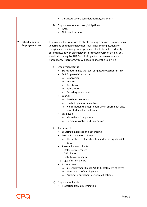|                       | Certificate where consideration £1,000 or less                                                                                    |
|-----------------------|-----------------------------------------------------------------------------------------------------------------------------------|
|                       | Employment related taxes/obligations<br>f)                                                                                        |
|                       | <b>PAYE</b>                                                                                                                       |
|                       | <b>National Insurance</b>                                                                                                         |
|                       |                                                                                                                                   |
| Introduction to<br>7. | To provide effective advice to clients running a business, trainees must                                                          |
| <b>Employment Law</b> | understand common employment law rights, the implications of<br>engaging and dismissing employees, and should be able to identify |
|                       | potential issues with an employer's proposed course of action. You                                                                |
|                       | should also recognise TUPE and its impact on certain commercial                                                                   |
|                       | transactions. Therefore, you will need to know the following:                                                                     |
|                       |                                                                                                                                   |
|                       | <b>Employment status</b><br>a)                                                                                                    |
|                       | Status determines the level of rights/protections in law                                                                          |
|                       | Self Employed Contractor<br>٠                                                                                                     |
|                       | Supervision<br>$\circ$<br>Invoices<br>$\circ$                                                                                     |
|                       | Tax status<br>O                                                                                                                   |
|                       | Substitution<br>$\circ$                                                                                                           |
|                       | Providing equipment<br>$\circ$                                                                                                    |
|                       | Worker                                                                                                                            |
|                       | Zero hours contracts<br>$\circ$                                                                                                   |
|                       | Limited rights to subcontract<br>$\circ$                                                                                          |
|                       | No obligation to accept hours when offered but once<br>$\circ$<br>accepted must attend work                                       |
|                       | Employee                                                                                                                          |
|                       | Mutuality of obligations<br>$\circ$                                                                                               |
|                       | Degree of control and supervision<br>O                                                                                            |
|                       | Recruitment<br>b)                                                                                                                 |
|                       | Sourcing employees and advertising                                                                                                |
|                       | Discrimination in recruitment                                                                                                     |
|                       | The protected characteristics under the Equality Act<br>$\circ$                                                                   |
|                       | 2010                                                                                                                              |
|                       | Pre employment checks                                                                                                             |
|                       | <b>Obtaining references</b><br>O                                                                                                  |
|                       | <b>DBS</b> checks<br>$\circ$                                                                                                      |
|                       | Right to work checks<br>$\circ$                                                                                                   |
|                       | <b>Qualification checks</b><br>$\Omega$<br>Appointment                                                                            |
|                       | s.1 Employment Rights Act 1996 statement of terms<br>$\circ$                                                                      |
|                       | The contract of employment<br>$\circ$                                                                                             |
|                       | Automatic enrolment pension obligations<br>$\circ$                                                                                |
|                       |                                                                                                                                   |
|                       | c) Employment Rights                                                                                                              |
|                       | Protection from discrimination                                                                                                    |